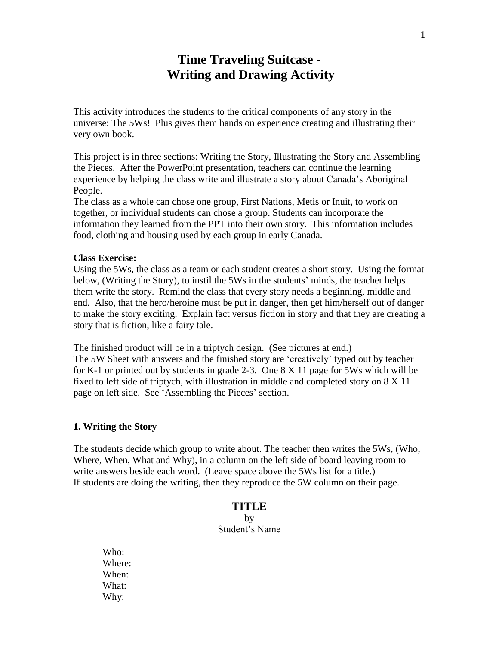## **Time Traveling Suitcase - Writing and Drawing Activity**

This activity introduces the students to the critical components of any story in the universe: The 5Ws! Plus gives them hands on experience creating and illustrating their very own book.

This project is in three sections: Writing the Story, Illustrating the Story and Assembling the Pieces. After the PowerPoint presentation, teachers can continue the learning experience by helping the class write and illustrate a story about Canada's Aboriginal People.

The class as a whole can chose one group, First Nations, Metis or Inuit, to work on together, or individual students can chose a group. Students can incorporate the information they learned from the PPT into their own story. This information includes food, clothing and housing used by each group in early Canada.

### **Class Exercise:**

Using the 5Ws, the class as a team or each student creates a short story. Using the format below, (Writing the Story), to instil the 5Ws in the students' minds, the teacher helps them write the story. Remind the class that every story needs a beginning, middle and end. Also, that the hero/heroine must be put in danger, then get him/herself out of danger to make the story exciting. Explain fact versus fiction in story and that they are creating a story that is fiction, like a fairy tale.

The finished product will be in a triptych design. (See pictures at end.) The 5W Sheet with answers and the finished story are 'creatively' typed out by teacher for K-1 or printed out by students in grade 2-3. One 8 X 11 page for 5Ws which will be fixed to left side of triptych, with illustration in middle and completed story on 8 X 11 page on left side. See 'Assembling the Pieces' section.

### **1. Writing the Story**

The students decide which group to write about. The teacher then writes the 5Ws, (Who, Where, When, What and Why), in a column on the left side of board leaving room to write answers beside each word. (Leave space above the 5Ws list for a title.) If students are doing the writing, then they reproduce the 5W column on their page.

## **TITLE**

by Student's Name

Who: Where: When: What: Why: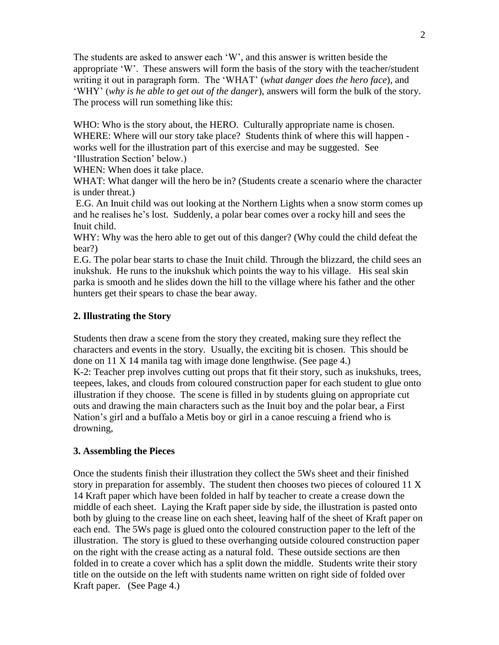The students are asked to answer each 'W', and this answer is written beside the appropriate 'W'. These answers will form the basis of the story with the teacher/student writing it out in paragraph form. The 'WHAT' (*what danger does the hero face*), and 'WHY' (*why is he able to get out of the danger*), answers will form the bulk of the story. The process will run something like this:

WHO: Who is the story about, the HERO. Culturally appropriate name is chosen. WHERE: Where will our story take place? Students think of where this will happen works well for the illustration part of this exercise and may be suggested. See 'Illustration Section' below.)

WHEN: When does it take place.

WHAT: What danger will the hero be in? (Students create a scenario where the character is under threat.)

E.G. An Inuit child was out looking at the Northern Lights when a snow storm comes up and he realises he's lost. Suddenly, a polar bear comes over a rocky hill and sees the Inuit child.

WHY: Why was the hero able to get out of this danger? (Why could the child defeat the bear?)

E.G. The polar bear starts to chase the Inuit child. Through the blizzard, the child sees an inukshuk. He runs to the inukshuk which points the way to his village. His seal skin parka is smooth and he slides down the hill to the village where his father and the other hunters get their spears to chase the bear away.

## **2. Illustrating the Story**

Students then draw a scene from the story they created, making sure they reflect the characters and events in the story. Usually, the exciting bit is chosen. This should be done on 11 X 14 manila tag with image done lengthwise. (See page 4.)

K-2: Teacher prep involves cutting out props that fit their story, such as inukshuks, trees, teepees, lakes, and clouds from coloured construction paper for each student to glue onto illustration if they choose. The scene is filled in by students gluing on appropriate cut outs and drawing the main characters such as the Inuit boy and the polar bear, a First Nation's girl and a buffalo a Metis boy or girl in a canoe rescuing a friend who is drowning,

## **3. Assembling the Pieces**

Once the students finish their illustration they collect the 5Ws sheet and their finished story in preparation for assembly. The student then chooses two pieces of coloured 11 X 14 Kraft paper which have been folded in half by teacher to create a crease down the middle of each sheet. Laying the Kraft paper side by side, the illustration is pasted onto both by gluing to the crease line on each sheet, leaving half of the sheet of Kraft paper on each end. The 5Ws page is glued onto the coloured construction paper to the left of the illustration. The story is glued to these overhanging outside coloured construction paper on the right with the crease acting as a natural fold. These outside sections are then folded in to create a cover which has a split down the middle. Students write their story title on the outside on the left with students name written on right side of folded over Kraft paper. (See Page 4.)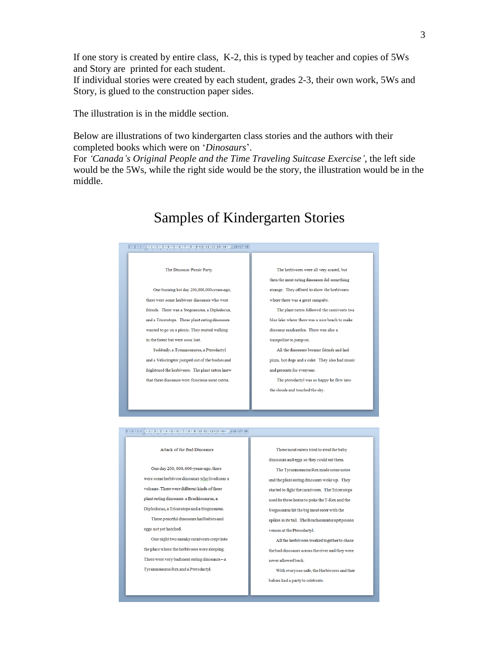If one story is created by entire class, K-2, this is typed by teacher and copies of 5Ws and Story are printed for each student.

If individual stories were created by each student, grades 2-3, their own work, 5Ws and Story, is glued to the construction paper sides.

The illustration is in the middle section.

Below are illustrations of two kindergarten class stories and the authors with their completed books which were on '*Dinosaurs*'.

For *'Canada's Original People and the Time Traveling Suitcase Exercise'*, the left side would be the 5Ws, while the right side would be the story, the illustration would be in the middle.

## Samples of Kindergarten Stories

### $\frac{1}{2} \cdot 1 \cdot 2 \cdot 1 \cdot 4 \cdot 1 \cdot \frac{1}{2} \cdot 1 \cdot 1 \cdot 2 \cdot 1 \cdot 3 \cdot 1 \cdot 4 \cdot 1 \cdot 5 \cdot 1 \cdot 6 \cdot 1 \cdot 7 \cdot 1 \cdot 8 \cdot 1 \cdot 9 \cdot 110 \cdot 11 \cdot 12 \cdot 12 \cdot 13 \cdot 14 \cdot 1 \cdot \frac{1}{2} \cdot 16 \cdot 17 \cdot 18 \cdot 13 \cdot 14 \cdot 14 \cdot 15 \cdot 15 \cdot 16 \cdot 17 \cdot 18 \cdot 18 \cdot 19 \cdot 19 \cdot$

#### The Dinosaur Pienie Party

One burning hot day 200,000,000-years-ago, there were some herbivore dinosaurs who were friends. There was a Stegosaurus, a Diplodocus, and a Triceratops. These plant eating dinosaurs wanted to go on a picnic. They started walking in the forest but were soon lost.

Suddenly, a Tyrannosaurus, a Pterodactyl and a Velociraptor jumped out of the bushes and frightened the herbivores. The plant eaters knew that these dinosaurs were ferocious meat eaters.

The herbivores were all very scared, but then the meat eating dinosaurs did something strange. They offered to show the herbivores where there was a great campsite.

The plant eaters followed the carnivores to a blue lake where there was a nice beach to make dinosaur sandcastles. There was also a

trampoline to jump on.

All the dinosaurs became friends and had pizza, hot dogs and a cake. They also had music and presents for everyone.

The pterodactyl was so happy he flew into  $% \mathcal{N}$ the clouds and touched the sky.

### 

#### Attack of the Bad Dinosaurs

One day 200, 000, 000-years-ago, there were some herbivore dinosaurs who lived near a volcano. There were different kinds of these  $\mathop{\mathrm{plan}}$  teating dinosaurs: a Brachiosaurus, a Diplodocus, a Triceratops and a Stegosaurus. These peaceful dinosaurs had babies and

eggs not yet hatched.

One night two sneaky carnivores crept into the place where the herbivores were sleeping. There were very bad meat eating dinosaurs  $-$  a Tyrannosaurus Rex and a Pterodactyl.

These meat eaters tried to steal the baby dinosaurs and eggs so they could eat them.

The Tyrannosaurus Rex made some noise and the plant eating dinosaurs woke up. They started to fight the carnivores. The Triceratops used its three horns to poke the T-Rex and the Stegosaurus hit the big meat eater with the spikes in its tail. The Brachiosaurus spit poison venom at the Pterodactyl.

All the herbivores worked together to chase the bad dinosaurs across the river and they were never allowed back.

With everyone safe, the Herbivores and their babies had a party to celebrate.